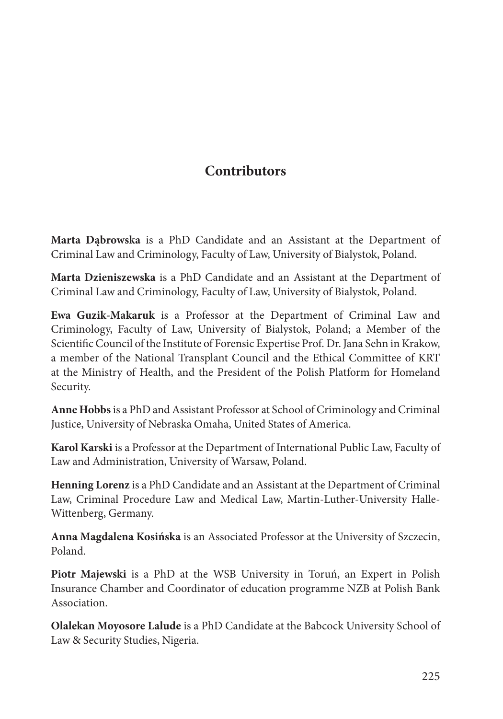## **Contributors**

**Marta Dąbrowska** is a PhD Candidate and an Assistant at the Department of Criminal Law and Criminology, Faculty of Law, University of Bialystok, Poland.

**Marta Dzieniszewska** is a PhD Candidate and an Assistant at the Department of Criminal Law and Criminology, Faculty of Law, University of Bialystok, Poland.

**Ewa Guzik-Makaruk** is a Professor at the Department of Criminal Law and Criminology, Faculty of Law, University of Bialystok, Poland; a Member of the Scientific Council of the Institute of Forensic Expertise Prof. Dr. Jana Sehn in Krakow, a member of the National Transplant Council and the Ethical Committee of KRT at the Ministry of Health, and the President of the Polish Platform for Homeland Security.

**Anne Hobbs** is a PhD and Assistant Professor at School of Criminology and Criminal Justice, University of Nebraska Omaha, United States of America.

**Karol Karski** is a Professor at the Department of International Public Law, Faculty of Law and Administration, University of Warsaw, Poland.

**Henning Lorenz** is a PhD Candidate and an Assistant at the Department of Criminal Law, Criminal Procedure Law and Medical Law, Martin-Luther-University Halle-Wittenberg, Germany.

**Anna Magdalena Kosińska** is an Associated Professor at the University of Szczecin, Poland.

**Piotr Majewski** is a PhD at the WSB University in Toruń, an Expert in Polish Insurance Chamber and Coordinator of education programme NZB at Polish Bank Association.

**Olalekan Moyosore Lalude** is a PhD Candidate at the Babcock University School of Law & Security Studies, Nigeria.